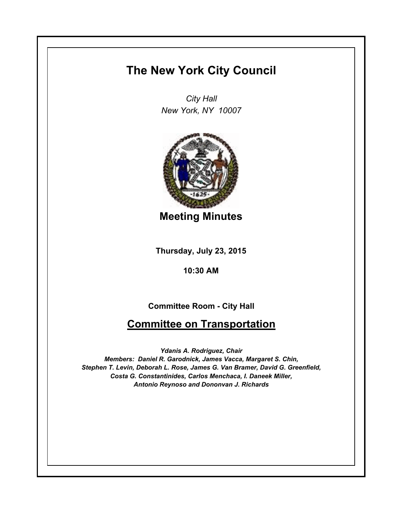## **The New York City Council**

*City Hall New York, NY 10007*



**Meeting Minutes**

**Thursday, July 23, 2015**

**10:30 AM**

**Committee Room - City Hall**

## **Committee on Transportation**

*Ydanis A. Rodriguez, Chair Members: Daniel R. Garodnick, James Vacca, Margaret S. Chin, Stephen T. Levin, Deborah L. Rose, James G. Van Bramer, David G. Greenfield, Costa G. Constantinides, Carlos Menchaca, I. Daneek Miller, Antonio Reynoso and Dononvan J. Richards*